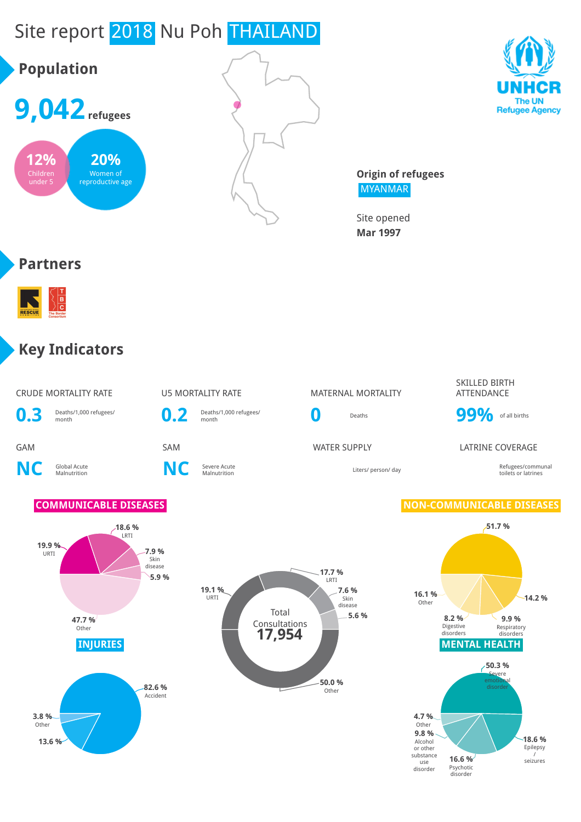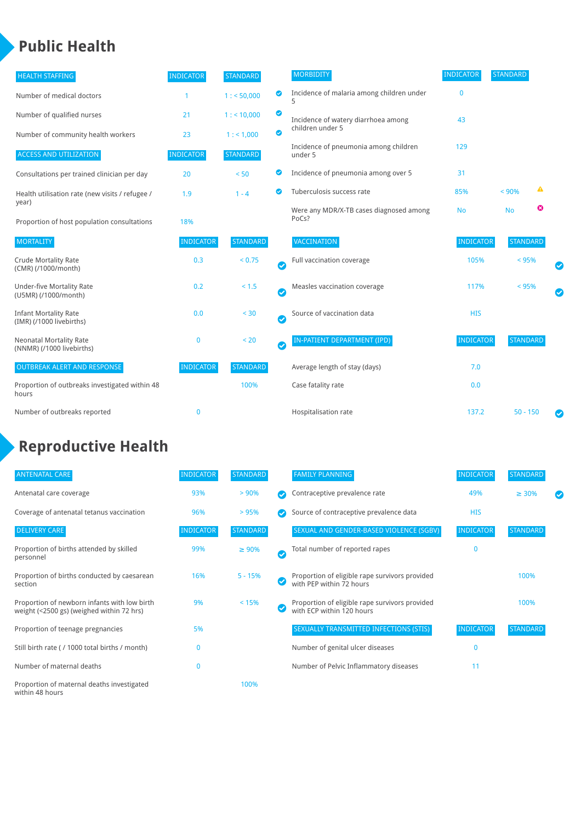### **Public Health**

| <b>HEALTH STAFFING</b>                                      | <b>INDICATOR</b> | <b>STANDARD</b> |           | <b>MORBIDITY</b>                                 | <b>INDICATOR</b> | <b>STANDARD</b> |   |   |
|-------------------------------------------------------------|------------------|-----------------|-----------|--------------------------------------------------|------------------|-----------------|---|---|
| Number of medical doctors                                   |                  | 1: 50,000       | ◉         | Incidence of malaria among children under        | $\mathbf{0}$     |                 |   |   |
| Number of qualified nurses                                  | 21               | $1:$ < 10,000   | ◎         | Incidence of watery diarrhoea among              | 43               |                 |   |   |
| Number of community health workers                          | 23               | 1: 1,000        | ◙         | children under 5                                 |                  |                 |   |   |
| <b>ACCESS AND UTILIZATION</b>                               | <b>INDICATOR</b> | <b>STANDARD</b> |           | Incidence of pneumonia among children<br>under 5 | 129              |                 |   |   |
| Consultations per trained clinician per day                 | 20               | < 50            | ◙         | Incidence of pneumonia among over 5              | 31               |                 |   |   |
| Health utilisation rate (new visits / refugee /             | 1.9              | $1 - 4$         |           | Tuberculosis success rate                        | 85%              | < 90%           | ▲ |   |
| year)<br>Proportion of host population consultations        | 18%              |                 |           | Were any MDR/X-TB cases diagnosed among<br>PoCs? | <b>No</b>        | <b>No</b>       | ☺ |   |
| <b>MORTALITY</b>                                            | <b>INDICATOR</b> | <b>STANDARD</b> |           | <b>VACCINATION</b>                               | <b>INDICATOR</b> | <b>STANDARD</b> |   |   |
| <b>Crude Mortality Rate</b><br>(CMR) (/1000/month)          | 0.3              | < 0.75          | $\bullet$ | Full vaccination coverage                        | 105%             | < 95%           |   |   |
| <b>Under-five Mortality Rate</b><br>(U5MR) (/1000/month)    | 0.2              | $< 1.5$         | Ø         | Measles vaccination coverage                     | 117%             | < 95%           |   | Ø |
| <b>Infant Mortality Rate</b><br>(IMR) (/1000 livebirths)    | 0.0              | < 30            | $\bullet$ | Source of vaccination data                       | <b>HIS</b>       |                 |   |   |
| <b>Neonatal Mortality Rate</b><br>(NNMR) (/1000 livebirths) | $\mathbf 0$      | < 20            | $\bullet$ | <b>IN-PATIENT DEPARTMENT (IPD)</b>               | <b>INDICATOR</b> | <b>STANDARD</b> |   |   |
| <b>OUTBREAK ALERT AND RESPONSE</b>                          | <b>INDICATOR</b> | <b>STANDARD</b> |           | Average length of stay (days)                    | 7.0              |                 |   |   |
| Proportion of outbreaks investigated within 48<br>hours     |                  | 100%            |           | Case fatality rate                               | 0.0              |                 |   |   |
| Number of outbreaks reported                                | $\mathbf 0$      |                 |           | Hospitalisation rate                             | 137.2            | $50 - 150$      |   |   |

### **Reproductive Health**

| <b>ANTENATAL CARE</b>                                                                     | <b>INDICATOR</b> | <b>STANDARD</b> | <b>FAMILY PLANNING</b>                                                      | <b>INDICATOR</b> | <b>STANDARD</b> |  |
|-------------------------------------------------------------------------------------------|------------------|-----------------|-----------------------------------------------------------------------------|------------------|-----------------|--|
| Antenatal care coverage                                                                   | 93%              | > 90%           | Contraceptive prevalence rate                                               | 49%              | $\geq 30\%$     |  |
| Coverage of antenatal tetanus vaccination                                                 | 96%              | > 95%           | Source of contraceptive prevalence data                                     | <b>HIS</b>       |                 |  |
| <b>DELIVERY CARE</b>                                                                      | <b>INDICATOR</b> | <b>STANDARD</b> | SEXUAL AND GENDER-BASED VIOLENCE (SGBV)                                     | <b>INDICATOR</b> | <b>STANDARD</b> |  |
| Proportion of births attended by skilled<br>personnel                                     | 99%              | $\geq 90\%$     | Total number of reported rapes                                              | $\Omega$         |                 |  |
| Proportion of births conducted by caesarean<br>section                                    | 16%              | $5 - 15%$       | Proportion of eligible rape survivors provided<br>with PEP within 72 hours  |                  | 100%            |  |
| Proportion of newborn infants with low birth<br>weight (<2500 gs) (weighed within 72 hrs) | 9%               | < 15%           | Proportion of eligible rape survivors provided<br>with ECP within 120 hours |                  | 100%            |  |
| Proportion of teenage pregnancies                                                         | 5%               |                 | SEXUALLY TRANSMITTED INFECTIONS (STIS)                                      | <b>INDICATOR</b> | <b>STANDARD</b> |  |
| Still birth rate (/1000 total births / month)                                             |                  |                 | Number of genital ulcer diseases                                            | $\mathbf{0}$     |                 |  |
| Number of maternal deaths                                                                 | 0                |                 | Number of Pelvic Inflammatory diseases                                      | 11               |                 |  |
| Proportion of maternal deaths investigated<br>within 48 hours                             |                  | 100%            |                                                                             |                  |                 |  |